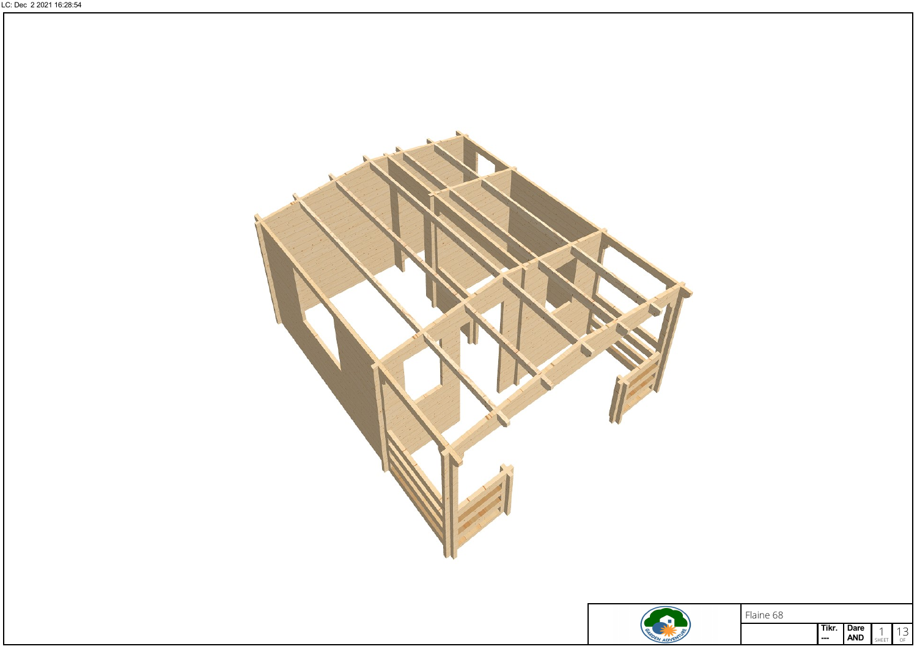



Flaine 68

Dare AND

 $\blacksquare$   $\blacksquare$   $\blacksquare$   $\blacksquare$   $\blacksquare$   $\blacksquare$   $\blacksquare$   $\blacksquare$   $\blacksquare$   $\blacksquare$   $\blacksquare$ 

 $13$ <br>SHEET  $13$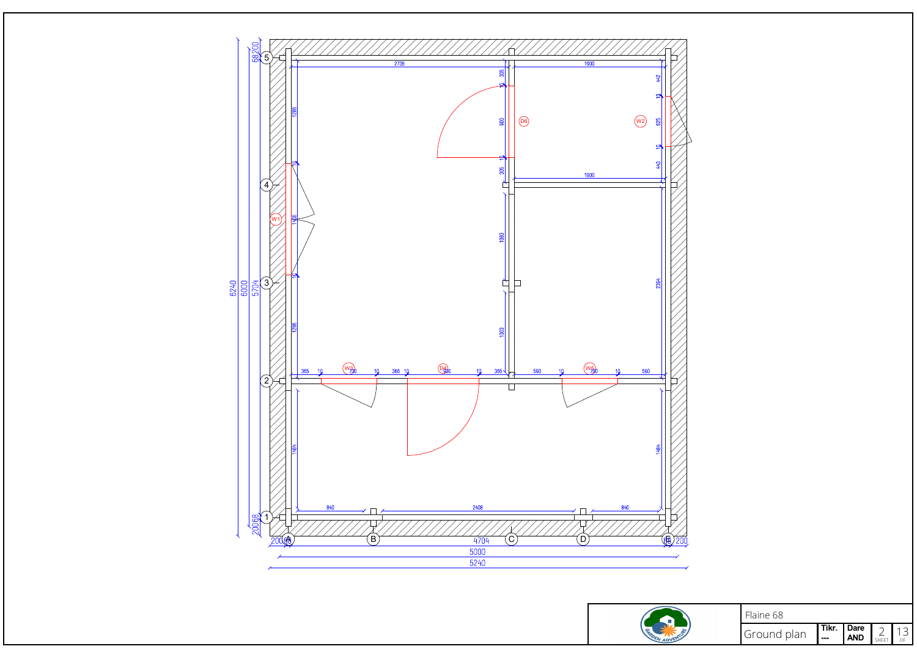



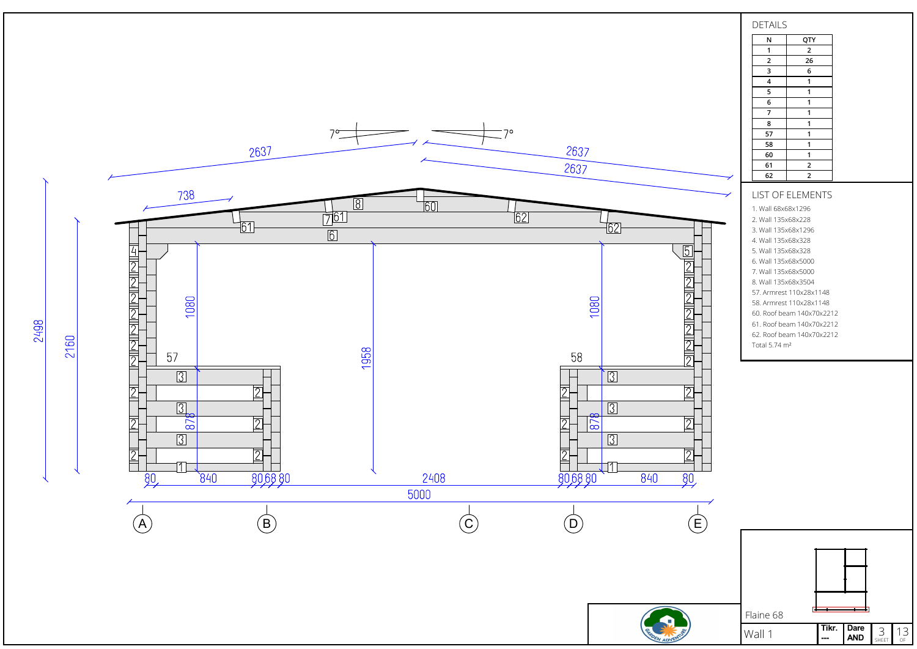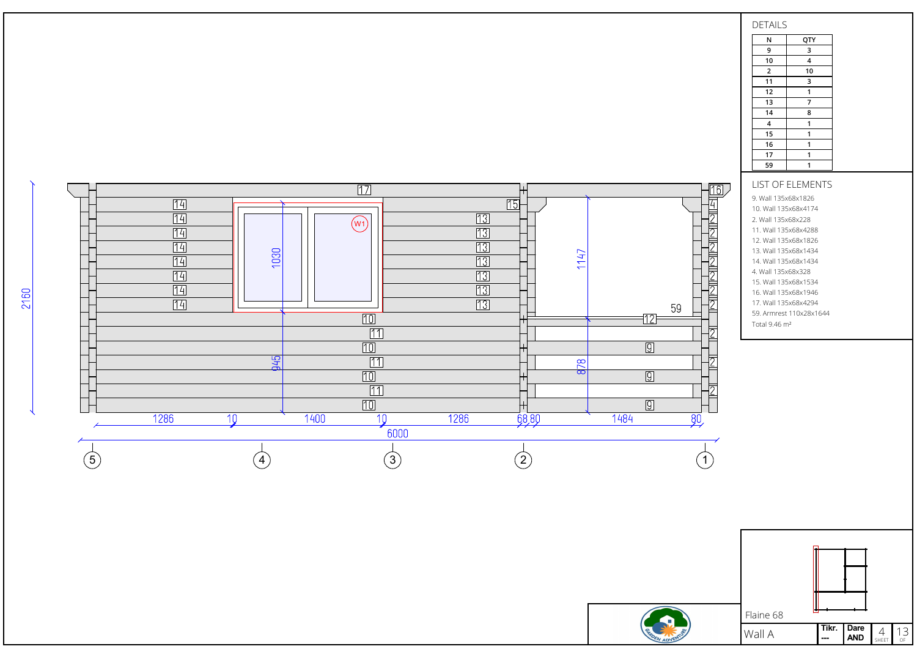



9. Wall 135x68x1826 10. Wall 135x68x4174 2. Wall 135x68x228 11. Wall 135x68x4288 12. Wall 135x68x1826 13. Wall 135x68x1434 14. Wall 135x68x1434 4. Wall 135x68x328 15. Wall 135x68x1534 16. Wall 135x68x1946 17. Wall 135x68x4294 59. Armrest 110x28x1644 Total 9.46 m²



2160

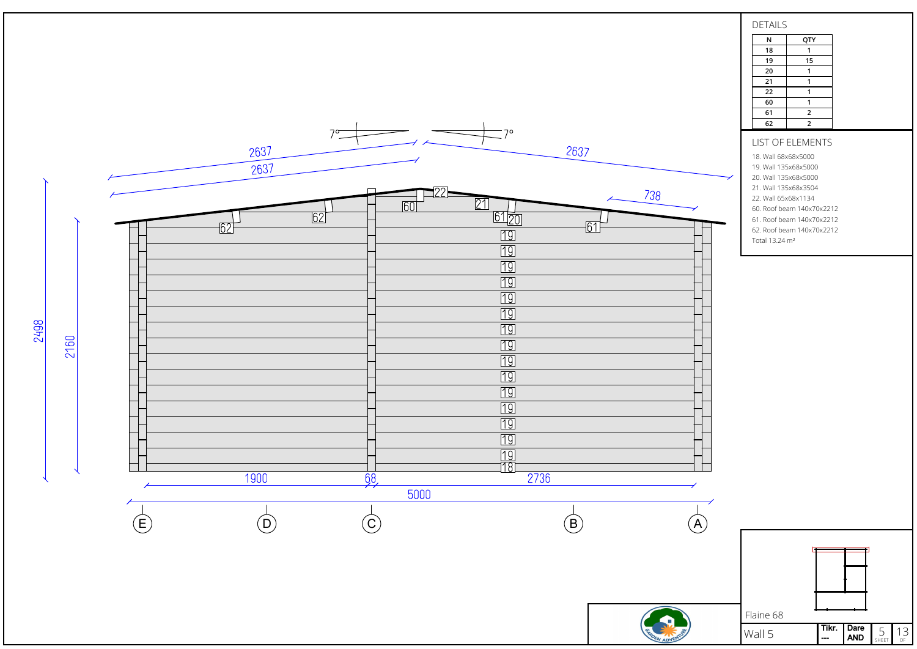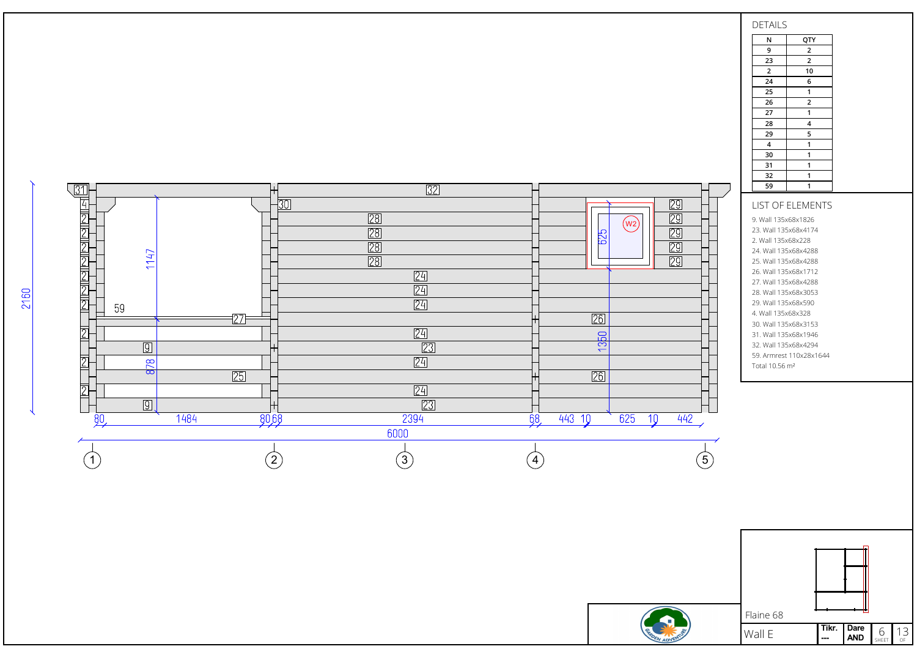





Tikr. | Dare AND Tikr. Dare  $6 \nightharpoonup 13$ <br>--- AND SHEET  $0$ F

 $\frac{23}{2}$ 

 $\overline{24}$ 

25

26

27

28

29

N QTY 9 2

> $\overline{2}$  $\overline{10}$

> > 6

1

 $\overline{2}$ 

1

4

5

2160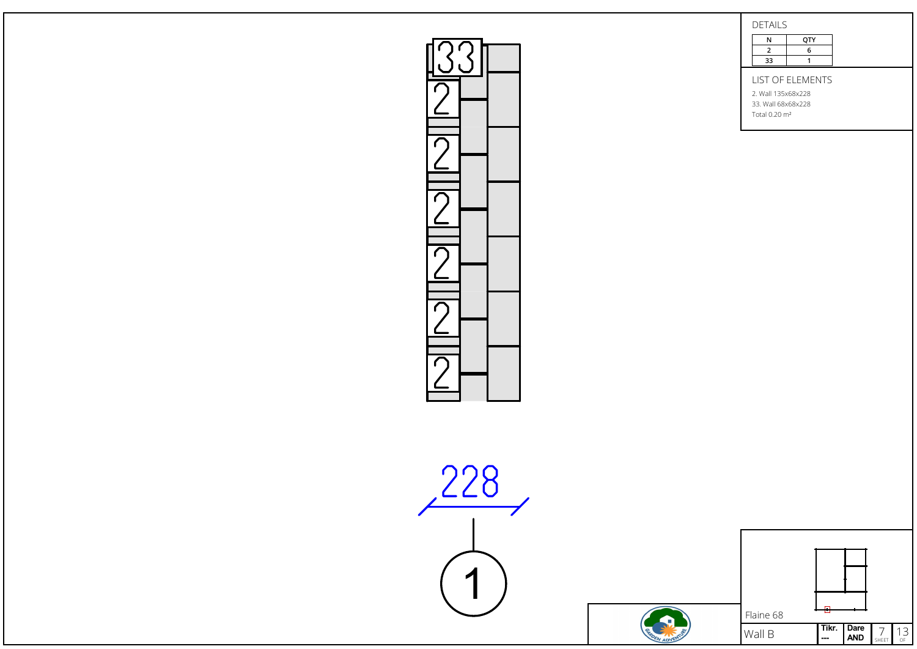| DETAILS |     |
|---------|-----|
|         | OTY |
|         |     |

|    | <b>OTY</b> |  |
|----|------------|--|
|    | h          |  |
| 33 |            |  |
|    |            |  |

LIST OF ELEMENTS

2. Wall 135x68x228 33. Wall 68x68x228

Total 0.20 m²



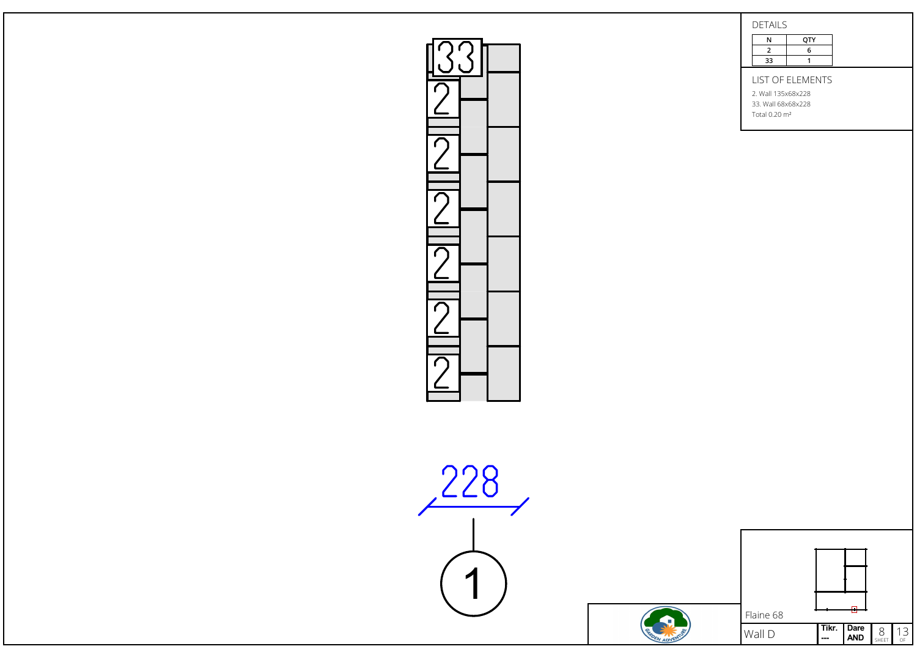| <b>DETAILS</b> |     |
|----------------|-----|
|                | OTY |
|                |     |

|    | OTY |  |
|----|-----|--|
|    | 6   |  |
| 33 |     |  |
|    |     |  |

LIST OF ELEMENTS

2. Wall 135x68x228 33. Wall 68x68x228

Total 0.20 m²



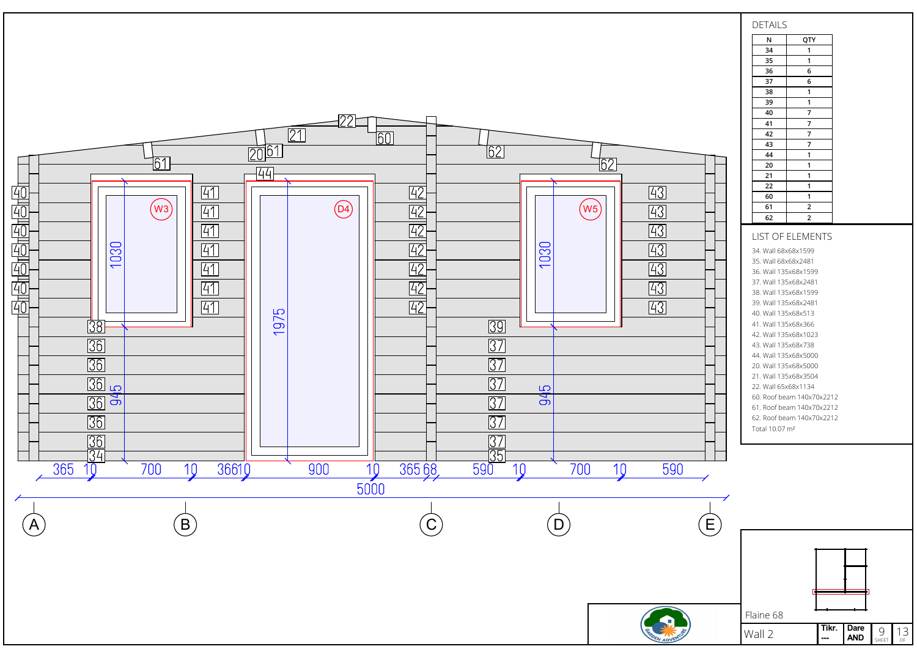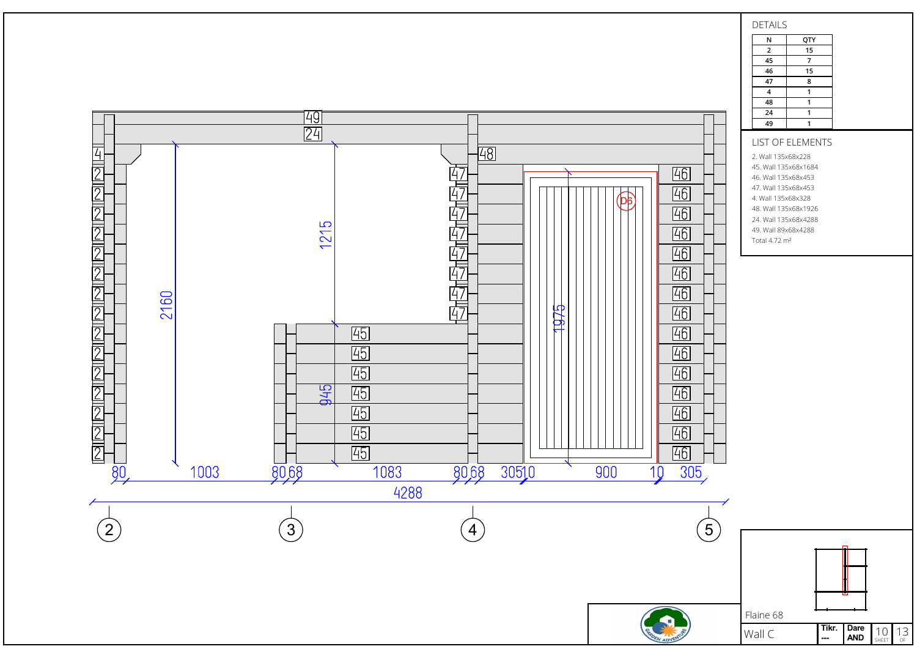

## DETAILS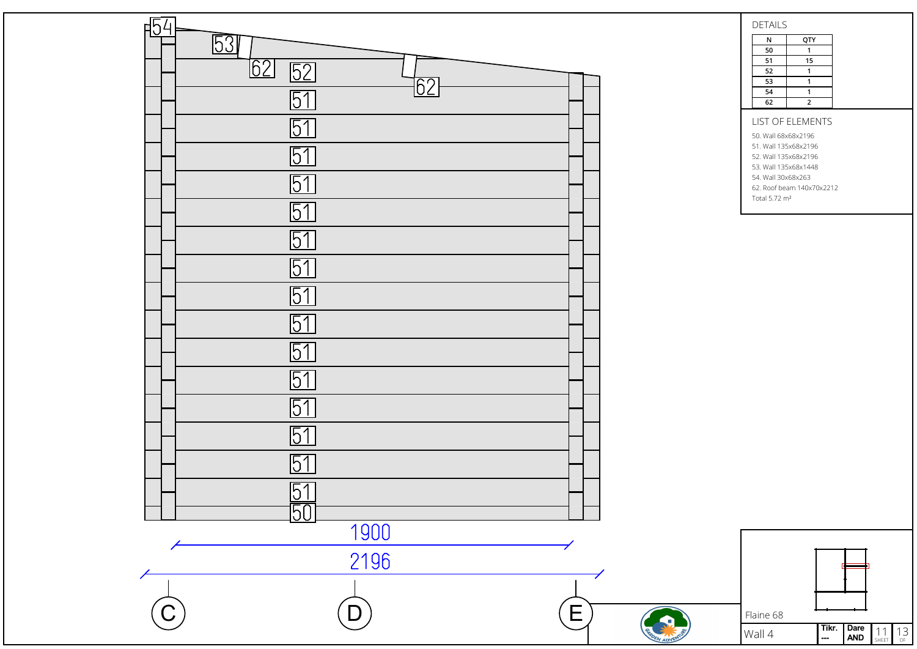

DETAILS

N QTY  $\begin{array}{|c|c|c|}\n\hline\n50 & 1 \\
\hline\n51 & 15\n\end{array}$  $\begin{array}{|c|c|c|}\n\hline\n51 & 15 \\
\hline\n52 & 1\n\end{array}$  $\frac{1}{1}$  $\overline{53}$ 54 1 62 2

## LIST OF ELEMENTS

50. Wall 68x68x2196 51. Wall 135x68x2196 52. Wall 135x68x2196 53. Wall 135x68x1448 54. Wall 30x68x263 62. Roof beam 140x70x2212

Total 5.72 m²

Tikr. | Dare AND Tikr. Dare  $11$  13 Flaine 68 Wall 4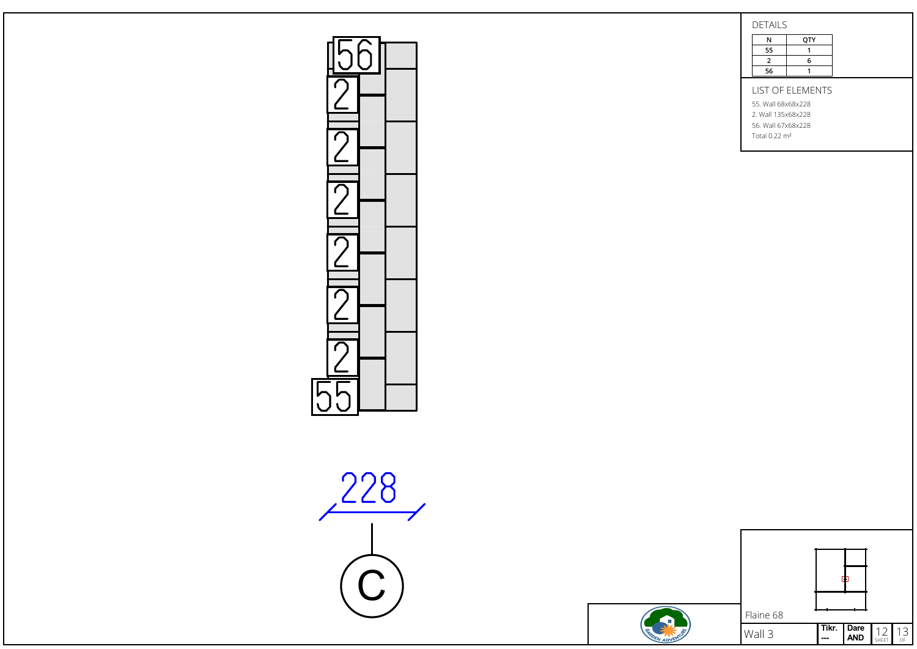$DETALC$ 

| DETAILD |     |  |
|---------|-----|--|
| N       | QTY |  |
| 55      |     |  |
| 2       | 6   |  |
| 56      |     |  |
|         |     |  |

LIST OF ELEMENTS

55. Wall 68x68x228 2. Wall 135x68x228

56. Wall 67x68x228

Total 0.22 m²



r

|                          | Flaine 68 |       |             |                     |               |
|--------------------------|-----------|-------|-------------|---------------------|---------------|
| $\overline{\mathscr{E}}$ | Wall 3    | Tikr. | Dare<br>AND | 12 <sub>shEET</sub> | $\frac{13}{}$ |